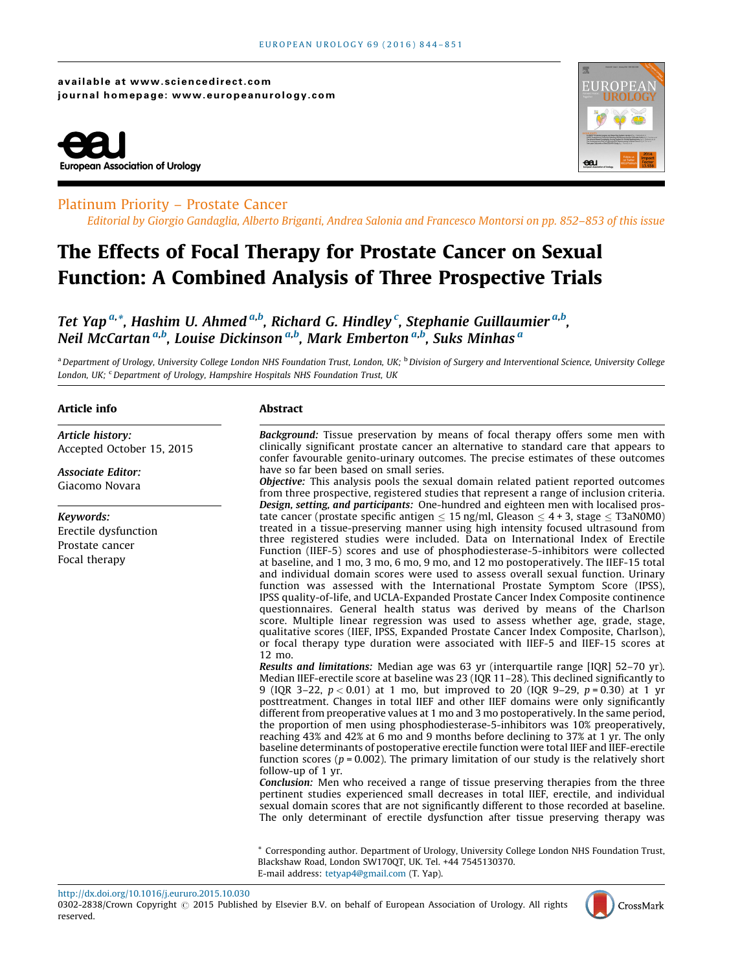available at www.sciencedirect.com journal homepage: www.europeanurology.com





## Platinum Priority – Prostate Cancer

Editorial by Giorgio Gandaglia, Alberto Briganti, Andrea Salonia and Francesco Montorsi on pp. 852–853 of this issue

# The Effects of Focal Therapy for Prostate Cancer on Sexual Function: A Combined Analysis of Three Prospective Trials

Tet Yap <sup>a,</sup>\*, Hashim U. Ahmed <sup>a,b</sup>, Richard G. Hindley <sup>c</sup>, Stephanie Guillaumier <sup>a,b</sup>, Neil McCartan <sup>a,b</sup>, Louise Dickinson <sup>a,b</sup>, Mark Emberton <sup>a,b</sup>, Suks Minhas <sup>a</sup>

<sup>a</sup> Department of Urology, University College London NHS Foundation Trust, London, UK; <sup>b</sup> Division of Surgery and Interventional Science, University College London, UK; C Department of Urology, Hampshire Hospitals NHS Foundation Trust, UK

## Article info

Article history: Accepted October 15, 2015

Associate Editor: Giacomo Novara

## Keywords:

Erectile dysfunction Prostate cancer Focal therapy

## Abstract

Background: Tissue preservation by means of focal therapy offers some men with clinically significant prostate cancer an alternative to standard care that appears to confer favourable genito-urinary outcomes. The precise estimates of these outcomes have so far been based on small series.

Objective: This analysis pools the sexual domain related patient reported outcomes from three prospective, registered studies that represent a range of inclusion criteria. Design, setting, and participants: One-hundred and eighteen men with localised prostate cancer (prostate specific antigen  $\leq 15$  ng/ml, Gleason  $\leq 4 + 3$ , stage  $\leq$  T3aN0M0) treated in a tissue-preserving manner using high intensity focused ultrasound from three registered studies were included. Data on International Index of Erectile Function (IIEF-5) scores and use of phosphodiesterase-5-inhibitors were collected at baseline, and 1 mo, 3 mo, 6 mo, 9 mo, and 12 mo postoperatively. The IIEF-15 total and individual domain scores were used to assess overall sexual function. Urinary function was assessed with the International Prostate Symptom Score (IPSS), IPSS quality-of-life, and UCLA-Expanded Prostate Cancer Index Composite continence questionnaires. General health status was derived by means of the Charlson score. Multiple linear regression was used to assess whether age, grade, stage, qualitative scores (IIEF, IPSS, Expanded Prostate Cancer Index Composite, Charlson), or focal therapy type duration were associated with IIEF-5 and IIEF-15 scores at 12 mo.

Results and limitations: Median age was 63 yr (interquartile range [IQR] 52–70 yr). Median IIEF-erectile score at baseline was 23 (IQR 11–28). This declined significantly to 9 (IQR 3-22,  $p < 0.01$ ) at 1 mo, but improved to 20 (IQR 9-29,  $p = 0.30$ ) at 1 yr posttreatment. Changes in total IIEF and other IIEF domains were only significantly different from preoperative values at 1 mo and 3 mo postoperatively. In the same period, the proportion of men using phosphodiesterase-5-inhibitors was 10% preoperatively, reaching 43% and 42% at 6 mo and 9 months before declining to 37% at 1 yr. The only baseline determinants of postoperative erectile function were total IIEF and IIEF-erectile function scores ( $p = 0.002$ ). The primary limitation of our study is the relatively short follow-up of 1 yr.

Conclusion: Men who received a range of tissue preserving therapies from the three pertinent studies experienced small decreases in total IIEF, erectile, and individual sexual domain scores that are not significantly different to those recorded at baseline. The only determinant of erectile dysfunction after tissue preserving therapy was

\* Corresponding author. Department of Urology, University College London NHS Foundation Trust, Blackshaw Road, London SW170QT, UK. Tel. +44 7545130370. E-mail address: [tetyap4@gmail.com](mailto:tetyap4@gmail.com) (T. Yap).

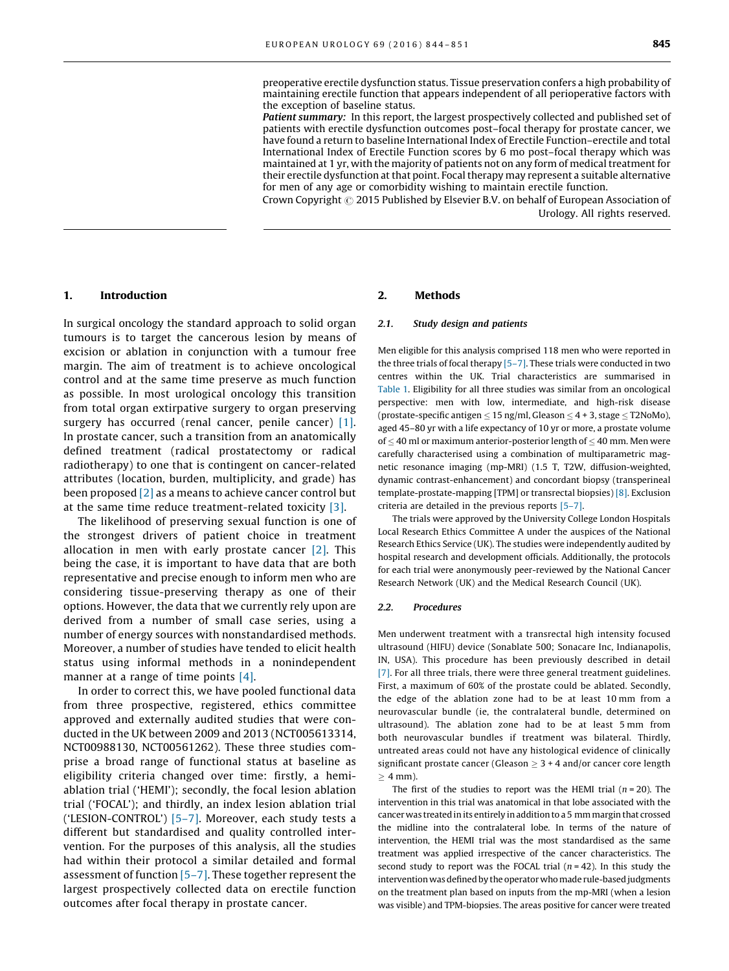preoperative erectile dysfunction status. Tissue preservation confers a high probability of maintaining erectile function that appears independent of all perioperative factors with the exception of baseline status.

Patient summary: In this report, the largest prospectively collected and published set of patients with erectile dysfunction outcomes post–focal therapy for prostate cancer, we have found a return to baseline International Index of Erectile Function–erectile and total International Index of Erectile Function scores by 6 mo post–focal therapy which was maintained at 1 yr, with the majority of patients not on any form of medical treatment for their erectile dysfunction at that point. Focal therapy may represent a suitable alternative for men of any age or comorbidity wishing to maintain erectile function.

Crown Copyright  $\odot$  2015 Published by Elsevier B.V. on behalf of European Association of Urology. All rights reserved.

## 1. Introduction

In surgical oncology the standard approach to solid organ tumours is to target the cancerous lesion by means of excision or ablation in conjunction with a tumour free margin. The aim of treatment is to achieve oncological control and at the same time preserve as much function as possible. In most urological oncology this transition from total organ extirpative surgery to organ preserving surgery has occurred (renal cancer, penile cancer) [\[1\].](#page-6-0) In prostate cancer, such a transition from an anatomically defined treatment (radical prostatectomy or radical radiotherapy) to one that is contingent on cancer-related attributes (location, burden, multiplicity, and grade) has been proposed  $[2]$  as a means to achieve cancer control but at the same time reduce treatment-related toxicity [\[3\]](#page-6-0).

The likelihood of preserving sexual function is one of the strongest drivers of patient choice in treatment allocation in men with early prostate cancer [\[2\].](#page-6-0) This being the case, it is important to have data that are both representative and precise enough to inform men who are considering tissue-preserving therapy as one of their options. However, the data that we currently rely upon are derived from a number of small case series, using a number of energy sources with nonstandardised methods. Moreover, a number of studies have tended to elicit health status using informal methods in a nonindependent manner at a range of time points [\[4\]](#page-6-0).

In order to correct this, we have pooled functional data from three prospective, registered, ethics committee approved and externally audited studies that were conducted in the UK between 2009 and 2013 (NCT005613314, NCT00988130, NCT00561262). These three studies comprise a broad range of functional status at baseline as eligibility criteria changed over time: firstly, a hemiablation trial ('HEMI'); secondly, the focal lesion ablation trial ('FOCAL'); and thirdly, an index lesion ablation trial ('LESION-CONTROL') [\[5–7\]](#page-6-0). Moreover, each study tests a different but standardised and quality controlled intervention. For the purposes of this analysis, all the studies had within their protocol a similar detailed and formal assessment of function [\[5–7\].](#page-6-0) These together represent the largest prospectively collected data on erectile function outcomes after focal therapy in prostate cancer.

## 2. Methods

#### 2.1. Study design and patients

Men eligible for this analysis comprised 118 men who were reported in the three trials of focal therapy  $[5-7]$ . These trials were conducted in two centres within the UK. Trial characteristics are summarised in [Table 1](#page-2-0). Eligibility for all three studies was similar from an oncological perspective: men with low, intermediate, and high-risk disease (prostate-specific antigen  $\leq$  15 ng/ml, Gleason  $\leq$  4 + 3, stage  $\leq$  T2NoMo), aged 45–80 yr with a life expectancy of 10 yr or more, a prostate volume of  $\leq$  40 ml or maximum anterior-posterior length of  $\leq$  40 mm. Men were carefully characterised using a combination of multiparametric magnetic resonance imaging (mp-MRI) (1.5 T, T2W, diffusion-weighted, dynamic contrast-enhancement) and concordant biopsy (transperineal template-prostate-mapping [TPM] or transrectal biopsies) [\[8\].](#page-6-0) Exclusion criteria are detailed in the previous reports [\[5–7\].](#page-6-0)

The trials were approved by the University College London Hospitals Local Research Ethics Committee A under the auspices of the National Research Ethics Service (UK). The studies were independently audited by hospital research and development officials. Additionally, the protocols for each trial were anonymously peer-reviewed by the National Cancer Research Network (UK) and the Medical Research Council (UK).

#### 2.2. Procedures

Men underwent treatment with a transrectal high intensity focused ultrasound (HIFU) device (Sonablate 500; Sonacare Inc, Indianapolis, IN, USA). This procedure has been previously described in detail [\[7\].](#page-6-0) For all three trials, there were three general treatment guidelines. First, a maximum of 60% of the prostate could be ablated. Secondly, the edge of the ablation zone had to be at least 10 mm from a neurovascular bundle (ie, the contralateral bundle, determined on ultrasound). The ablation zone had to be at least 5 mm from both neurovascular bundles if treatment was bilateral. Thirdly, untreated areas could not have any histological evidence of clinically significant prostate cancer (Gleason  $\geq 3 + 4$  and/or cancer core length  $> 4$  mm).

The first of the studies to report was the HEMI trial ( $n = 20$ ). The intervention in this trial was anatomical in that lobe associated with the cancer was treated in its entirely in addition to a 5 mmmargin that crossed the midline into the contralateral lobe. In terms of the nature of intervention, the HEMI trial was the most standardised as the same treatment was applied irrespective of the cancer characteristics. The second study to report was the FOCAL trial  $(n = 42)$ . In this study the intervention was defined by the operatorwho made rule-based judgments on the treatment plan based on inputs from the mp-MRI (when a lesion was visible) and TPM-biopsies. The areas positive for cancer were treated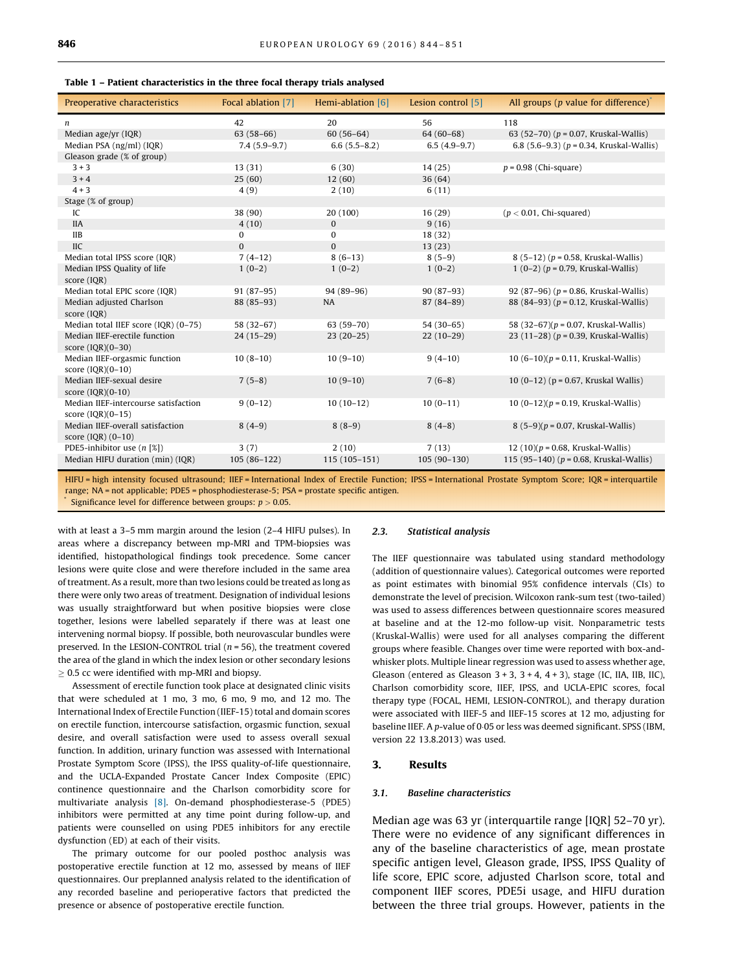<span id="page-2-0"></span>

| Preoperative characteristics                                | Focal ablation [7] | Hemi-ablation [6] | Lesion control [5] | All groups ( $p$ value for difference) $\check{\ }$ |
|-------------------------------------------------------------|--------------------|-------------------|--------------------|-----------------------------------------------------|
| n                                                           | 42                 | 20                | 56                 | 118                                                 |
| Median age/yr (IQR)                                         | $63(58-66)$        | $60(56-64)$       | $64(60-68)$        | 63 (52-70) ( $p = 0.07$ , Kruskal-Wallis)           |
| Median PSA (ng/ml) (IQR)                                    | $7.4(5.9-9.7)$     | $6.6(5.5 - 8.2)$  | $6.5(4.9-9.7)$     | 6.8 $(5.6-9.3)$ ( $p = 0.34$ , Kruskal-Wallis)      |
| Gleason grade (% of group)                                  |                    |                   |                    |                                                     |
| $3 + 3$                                                     | 13(31)             | 6(30)             | 14(25)             | $p = 0.98$ (Chi-square)                             |
| $3 + 4$                                                     | 25(60)             | 12(60)            | 36 (64)            |                                                     |
| $4 + 3$                                                     | 4(9)               | 2(10)             | 6(11)              |                                                     |
| Stage (% of group)                                          |                    |                   |                    |                                                     |
| IC                                                          | 38 (90)            | 20 (100)          | 16(29)             | $(p < 0.01$ , Chi-squared)                          |
| <b>IIA</b>                                                  | 4(10)              | $\mathbf{0}$      | 9(16)              |                                                     |
| <b>IIB</b>                                                  | $\bf{0}$           | 0                 | 18 (32)            |                                                     |
| <b>IIC</b>                                                  | $\Omega$           | $\Omega$          | 13(23)             |                                                     |
| Median total IPSS score (IQR)                               | $7(4-12)$          | $8(6-13)$         | $8(5-9)$           | 8 $(5-12)$ ( $p = 0.58$ , Kruskal-Wallis)           |
| Median IPSS Quality of life                                 | $1(0-2)$           | $1(0-2)$          | $1(0-2)$           | $1(0-2)(p = 0.79$ , Kruskal-Wallis)                 |
| score (IQR)                                                 |                    |                   |                    |                                                     |
| Median total EPIC score (IQR)                               | $91(87-95)$        | 94 (89-96)        | $90(87-93)$        | 92 (87-96) ( $p = 0.86$ , Kruskal-Wallis)           |
| Median adjusted Charlson<br>score (IQR)                     | 88 (85-93)         | NA                | 87 (84-89)         | 88 (84–93) ( $p = 0.12$ , Kruskal-Wallis)           |
| Median total IIEF score (IQR) (0-75)                        | 58 (32-67)         | $63(59-70)$       | $54(30-65)$        | 58 $(32-67)(p = 0.07$ , Kruskal-Wallis)             |
| Median IIEF-erectile function<br>score $(IOR)(0-30)$        | $24(15-29)$        | $23(20-25)$       | $22(10-29)$        | 23 (11-28) ( $p = 0.39$ , Kruskal-Wallis)           |
| Median IIEF-orgasmic function                               | $10(8-10)$         | $10(9-10)$        | $9(4-10)$          | 10 $(6-10)(p = 0.11$ , Kruskal-Wallis)              |
| score $(IQR)(0-10)$                                         |                    |                   |                    |                                                     |
| Median IIEF-sexual desire                                   | $7(5-8)$           | $10(9-10)$        | $7(6-8)$           | 10 $(0-12)$ (p = 0.67, Kruskal Wallis)              |
| score $(IQR)(0-10)$                                         |                    |                   |                    |                                                     |
| Median IIEF-intercourse satisfaction<br>score $(IQR)(0-15)$ | $9(0-12)$          | $10(10-12)$       | $10(0-11)$         | 10 $(0-12)(p = 0.19$ , Kruskal-Wallis)              |
| Median IIEF-overall satisfaction<br>score $(IQR)$ $(0-10)$  | $8(4-9)$           | $8(8-9)$          | $8(4-8)$           | $8(5-9)(p = 0.07$ , Kruskal-Wallis)                 |
| PDE5-inhibitor use $(n   \mathcal{X})$                      | 3(7)               | 2(10)             | 7(13)              | $12(10)(p = 0.68$ , Kruskal-Wallis)                 |
| Median HIFU duration (min) (IQR)                            | $105(86-122)$      | $115(105-151)$    | $105(90-130)$      | 115 (95-140) ( $p = 0.68$ , Kruskal-Wallis)         |

HIFU = high intensity focused ultrasound; IIEF = International Index of Erectile Function; IPSS = International Prostate Symptom Score; IQR = interquartile range; NA = not applicable; PDE5 = phosphodiesterase-5; PSA = prostate specific antigen.

Significance level for difference between groups:  $p > 0.05$ .

with at least a 3–5 mm margin around the lesion (2–4 HIFU pulses). In areas where a discrepancy between mp-MRI and TPM-biopsies was identified, histopathological findings took precedence. Some cancer lesions were quite close and were therefore included in the same area of treatment. As a result, more than two lesions could be treated as long as there were only two areas of treatment. Designation of individual lesions was usually straightforward but when positive biopsies were close together, lesions were labelled separately if there was at least one intervening normal biopsy. If possible, both neurovascular bundles were preserved. In the LESION-CONTROL trial ( $n = 56$ ), the treatment covered the area of the gland in which the index lesion or other secondary lesions  $\geq$  0.5 cc were identified with mp-MRI and biopsy.

Assessment of erectile function took place at designated clinic visits that were scheduled at 1 mo, 3 mo, 6 mo, 9 mo, and 12 mo. The International Index of Erectile Function (IIEF-15) total and domain scores on erectile function, intercourse satisfaction, orgasmic function, sexual desire, and overall satisfaction were used to assess overall sexual function. In addition, urinary function was assessed with International Prostate Symptom Score (IPSS), the IPSS quality-of-life questionnaire, and the UCLA-Expanded Prostate Cancer Index Composite (EPIC) continence questionnaire and the Charlson comorbidity score for multivariate analysis [\[8\].](#page-6-0) On-demand phosphodiesterase-5 (PDE5) inhibitors were permitted at any time point during follow-up, and patients were counselled on using PDE5 inhibitors for any erectile dysfunction (ED) at each of their visits.

The primary outcome for our pooled posthoc analysis was postoperative erectile function at 12 mo, assessed by means of IIEF questionnaires. Our preplanned analysis related to the identification of any recorded baseline and perioperative factors that predicted the presence or absence of postoperative erectile function.

#### 2.3. Statistical analysis

The IIEF questionnaire was tabulated using standard methodology (addition of questionnaire values). Categorical outcomes were reported as point estimates with binomial 95% confidence intervals (CIs) to demonstrate the level of precision. Wilcoxon rank-sum test (two-tailed) was used to assess differences between questionnaire scores measured at baseline and at the 12-mo follow-up visit. Nonparametric tests (Kruskal-Wallis) were used for all analyses comparing the different groups where feasible. Changes over time were reported with box-andwhisker plots. Multiple linear regression was used to assess whether age, Gleason (entered as Gleason  $3 + 3$ ,  $3 + 4$ ,  $4 + 3$ ), stage (IC, IIA, IIB, IIC), Charlson comorbidity score, IIEF, IPSS, and UCLA-EPIC scores, focal therapy type (FOCAL, HEMI, LESION-CONTROL), and therapy duration were associated with IIEF-5 and IIEF-15 scores at 12 mo, adjusting for baseline IIEF. A p-value of 0.05 or less was deemed significant. SPSS (IBM, version 22 13.8.2013) was used.

## 3. Results

## 3.1. Baseline characteristics

Median age was 63 yr (interquartile range [IQR] 52–70 yr). There were no evidence of any significant differences in any of the baseline characteristics of age, mean prostate specific antigen level, Gleason grade, IPSS, IPSS Quality of life score, EPIC score, adjusted Charlson score, total and component IIEF scores, PDE5i usage, and HIFU duration between the three trial groups. However, patients in the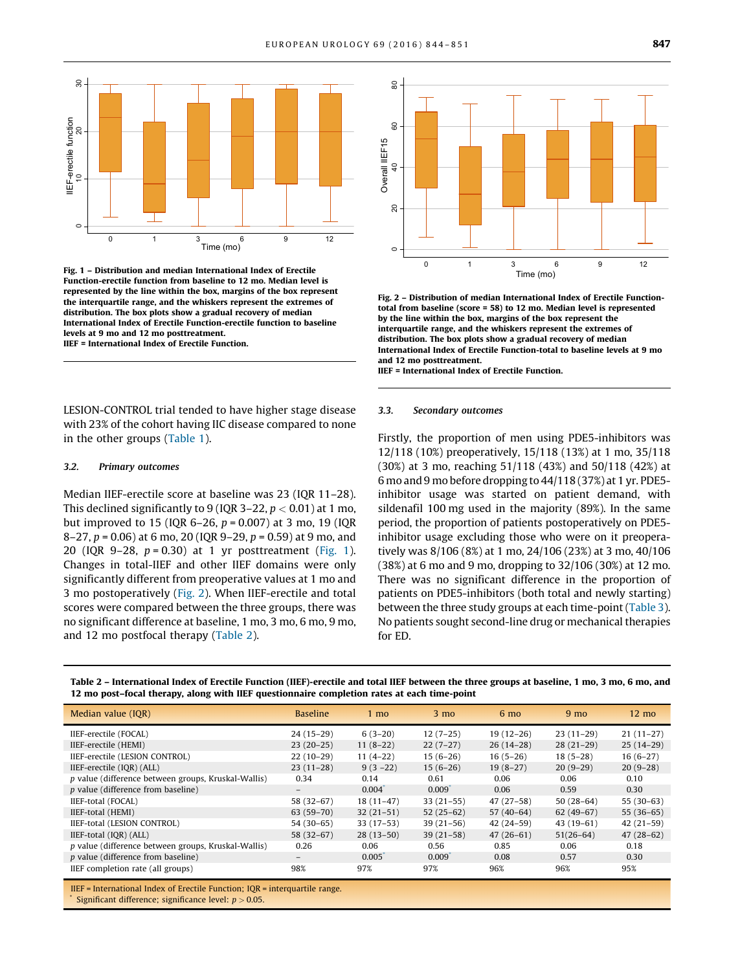<span id="page-3-0"></span>

Fig. 1 – Distribution and median International Index of Erectile Function-erectile function from baseline to 12 mo. Median level is represented by the line within the box, margins of the box represent the interquartile range, and the whiskers represent the extremes of distribution. The box plots show a gradual recovery of median International Index of Erectile Function-erectile function to baseline levels at 9 mo and 12 mo posttreatment. IIEF = International Index of Erectile Function.

LESION-CONTROL trial tended to have higher stage disease with 23% of the cohort having IIC disease compared to none in the other groups ([Table 1\)](#page-2-0).

## 3.2. Primary outcomes

Median IIEF-erectile score at baseline was 23 (IQR 11–28). This declined significantly to 9 (IQR 3-22,  $p < 0.01$ ) at 1 mo, but improved to 15 (IQR 6-26,  $p = 0.007$ ) at 3 mo, 19 (IQR 8–27,  $p = 0.06$ ) at 6 mo, 20 (IQR 9–29,  $p = 0.59$ ) at 9 mo, and 20 (IQR 9-28,  $p = 0.30$ ) at 1 yr posttreatment (Fig. 1). Changes in total-IIEF and other IIEF domains were only significantly different from preoperative values at 1 mo and 3 mo postoperatively (Fig. 2). When IIEF-erectile and total scores were compared between the three groups, there was no significant difference at baseline, 1 mo, 3 mo, 6 mo, 9 mo, and 12 mo postfocal therapy (Table 2).



Fig. 2 – Distribution of median International Index of Erectile Functiontotal from baseline (score = 58) to 12 mo. Median level is represented by the line within the box, margins of the box represent the interquartile range, and the whiskers represent the extremes of distribution. The box plots show a gradual recovery of median International Index of Erectile Function-total to baseline levels at 9 mo and 12 mo posttreatment.

IIEF = International Index of Erectile Function.

#### 3.3. Secondary outcomes

Firstly, the proportion of men using PDE5-inhibitors was 12/118 (10%) preoperatively, 15/118 (13%) at 1 mo, 35/118 (30%) at 3 mo, reaching 51/118 (43%) and 50/118 (42%) at 6 mo and 9 mo before dropping to 44/118 (37%) at 1 yr. PDE5 inhibitor usage was started on patient demand, with sildenafil 100 mg used in the majority (89%). In the same period, the proportion of patients postoperatively on PDE5 inhibitor usage excluding those who were on it preoperatively was 8/106 (8%) at 1 mo, 24/106 (23%) at 3 mo, 40/106 (38%) at 6 mo and 9 mo, dropping to 32/106 (30%) at 12 mo. There was no significant difference in the proportion of patients on PDE5-inhibitors (both total and newly starting) between the three study groups at each time-point [\(Table 3\)](#page-4-0). No patients sought second-line drug or mechanical therapies for ED.

| Median value (IOR)                                  | <b>Baseline</b> | $1 \text{ mo}$ | $3 \text{ mo}$ | $6 \text{ mo}$ | 9 <sub>mo</sub> | $12 \text{ mo}$ |
|-----------------------------------------------------|-----------------|----------------|----------------|----------------|-----------------|-----------------|
| IIEF-erectile (FOCAL)                               | $24(15-29)$     | $6(3-20)$      | $12(7-25)$     | $19(12-26)$    | $23(11-29)$     | $21(11-27)$     |
| IIEF-erectile (HEMI)                                | $23(20-25)$     | $11(8-22)$     | $22(7-27)$     | $26(14-28)$    | $28(21-29)$     | $25(14-29)$     |
| IIEF-erectile (LESION CONTROL)                      | $22(10-29)$     | $11(4-22)$     | $15(6-26)$     | $16(5-26)$     | $18(5-28)$      | $16(6-27)$      |
| IIEF-erectile (IQR) (ALL)                           | $23(11-28)$     | $9(3-22)$      | $15(6-26)$     | $19(8-27)$     | $20(9-29)$      | $20(9-28)$      |
| p value (difference between groups, Kruskal-Wallis) | 0.34            | 0.14           | 0.61           | 0.06           | 0.06            | 0.10            |
| <i>p</i> value (difference from baseline)           |                 | 0.004          | 0.009          | 0.06           | 0.59            | 0.30            |
| IIEF-total (FOCAL)                                  | $58(32-67)$     | $18(11-47)$    | $33(21-55)$    | $47(27-58)$    | $50(28-64)$     | $55(30-63)$     |
| IIEF-total (HEMI)                                   | $63(59-70)$     | $32(21-51)$    | $52(25-62)$    | $57(40-64)$    | $62(49-67)$     | $55(36-65)$     |
| IIEF-total (LESION CONTROL)                         | $54(30-65)$     | $33(17-53)$    | $39(21-56)$    | $42(24-59)$    | $43(19-61)$     | $42(21-59)$     |
| IIEF-total (IQR) (ALL)                              | $58(32-67)$     | $28(13-50)$    | $39(21-58)$    | $47(26-61)$    | $51(26-64)$     | $47(28-62)$     |
| p value (difference between groups, Kruskal-Wallis) | 0.26            | 0.06           | 0.56           | 0.85           | 0.06            | 0.18            |
| <i>p</i> value (difference from baseline)           |                 | 0.005          | 0.009          | 0.08           | 0.57            | 0.30            |
| IIEF completion rate (all groups)                   | 98%             | 97%            | 97%            | 96%            | 96%             | 95%             |

IIEF = International Index of Erectile Function; IQR = interquartile range. Significant difference; significance level:  $p > 0.05$ .

Table 2 – International Index of Erectile Function (IIEF)-erectile and total IIEF between the three groups at baseline, 1 mo, 3 mo, 6 mo, and 12 mo post–focal therapy, along with IIEF questionnaire completion rates at each time-point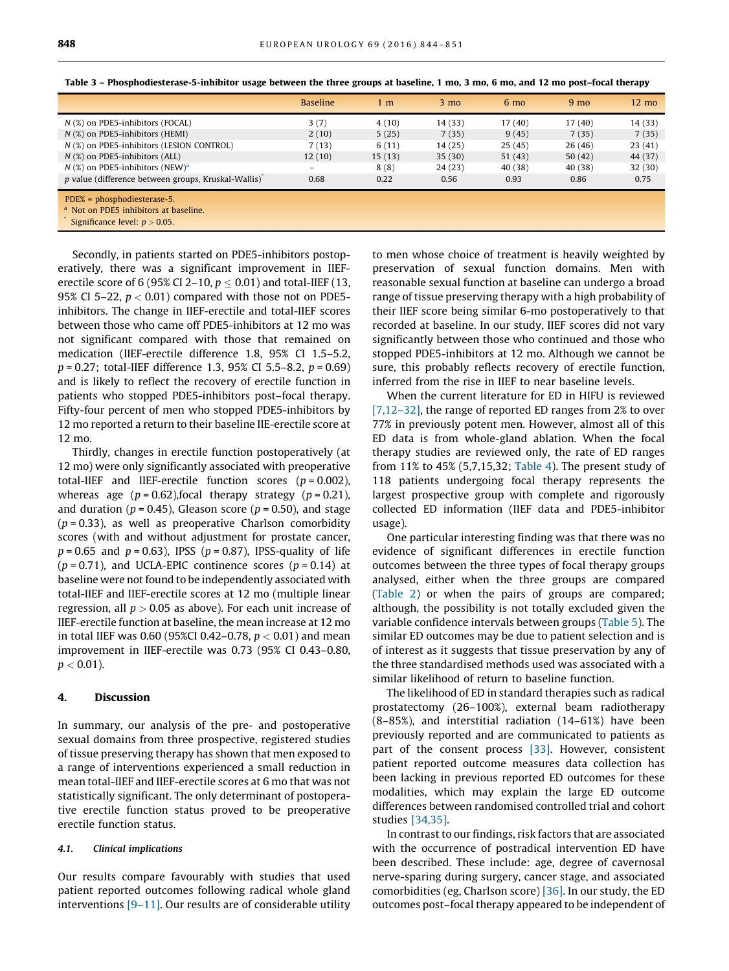|                                                                                   | <b>Baseline</b> | 1 m    | $3 \text{ mo}$ | $6 \text{ mo}$ | 9 <sub>mo</sub> | $12 \text{ mo}$ |
|-----------------------------------------------------------------------------------|-----------------|--------|----------------|----------------|-----------------|-----------------|
| $N$ (%) on PDE5-inhibitors (FOCAL)                                                | 3(7)            | 4(10)  | 14 (33)        | 17(40)         | 17 (40)         | 14 (33)         |
| $N$ (%) on PDE5-inhibitors (HEMI)                                                 | 2(10)           | 5(25)  | 7(35)          | 9(45)          | 7(35)           | 7(35)           |
| N (%) on PDE5-inhibitors (LESION CONTROL)                                         | 7(13)           | 6(11)  | 14(25)         | 25(45)         | 26(46)          | 23(41)          |
| $N$ (%) on PDE5-inhibitors (ALL)                                                  | 12(10)          | 15(13) | 35(30)         | 51(43)         | 50(42)          | 44 (37)         |
| $N$ (%) on PDE5-inhibitors (NEW) <sup>a</sup>                                     |                 | 8(8)   | 24(23)         | 40 (38)        | 40 (38)         | 32(30)          |
| p value (difference between groups, Kruskal-Wallis)                               | 0.68            | 0.22   | 0.56           | 0.93           | 0.86            | 0.75            |
| $PDE% = phosphodiesterase-5.$<br><sup>a</sup> Not on PDE5 inhibitors at baseline. |                 |        |                |                |                 |                 |
| Significance level: $p > 0.05$ .                                                  |                 |        |                |                |                 |                 |

<span id="page-4-0"></span>Table 3 – Phosphodiesterase-5-inhibitor usage between the three groups at baseline, 1 mo, 3 mo, 6 mo, and 12 mo post–focal therapy

Secondly, in patients started on PDE5-inhibitors postoperatively, there was a significant improvement in IIEFerectile score of 6 (95% CI 2–10,  $p \le 0.01$ ) and total-IIEF (13, 95% CI 5–22,  $p < 0.01$ ) compared with those not on PDE5– inhibitors. The change in IIEF-erectile and total-IIEF scores between those who came off PDE5-inhibitors at 12 mo was not significant compared with those that remained on medication (IIEF-erectile difference 1.8, 95% CI 1.5–5.2,  $p = 0.27$ ; total-IIEF difference 1.3, 95% CI 5.5–8.2,  $p = 0.69$ ) and is likely to reflect the recovery of erectile function in patients who stopped PDE5-inhibitors post–focal therapy. Fifty-four percent of men who stopped PDE5-inhibitors by 12 mo reported a return to their baseline IIE-erectile score at 12 mo.

Thirdly, changes in erectile function postoperatively (at 12 mo) were only significantly associated with preoperative total-IIEF and IIEF-erectile function scores  $(p = 0.002)$ , whereas age ( $p = 0.62$ ), focal therapy strategy ( $p = 0.21$ ), and duration ( $p = 0.45$ ), Gleason score ( $p = 0.50$ ), and stage  $(p = 0.33)$ , as well as preoperative Charlson comorbidity scores (with and without adjustment for prostate cancer,  $p = 0.65$  and  $p = 0.63$ ), IPSS ( $p = 0.87$ ), IPSS-quality of life  $(p = 0.71)$ , and UCLA-EPIC continence scores  $(p = 0.14)$  at baseline were not found to be independently associated with total-IIEF and IIEF-erectile scores at 12 mo (multiple linear regression, all  $p > 0.05$  as above). For each unit increase of IIEF-erectile function at baseline, the mean increase at 12 mo in total IIEF was 0.60 (95%CI 0.42-0.78,  $p < 0.01$ ) and mean improvement in IIEF-erectile was 0.73 (95% CI 0.43–0.80,  $p < 0.01$ ).

## 4. Discussion

In summary, our analysis of the pre- and postoperative sexual domains from three prospective, registered studies of tissue preserving therapy has shown that men exposed to a range of interventions experienced a small reduction in mean total-IIEF and IIEF-erectile scores at 6 mo that was not statistically significant. The only determinant of postoperative erectile function status proved to be preoperative erectile function status.

## 4.1. Clinical implications

Our results compare favourably with studies that used patient reported outcomes following radical whole gland interventions [\[9–11\].](#page-6-0) Our results are of considerable utility to men whose choice of treatment is heavily weighted by preservation of sexual function domains. Men with reasonable sexual function at baseline can undergo a broad range of tissue preserving therapy with a high probability of their IIEF score being similar 6-mo postoperatively to that recorded at baseline. In our study, IIEF scores did not vary significantly between those who continued and those who stopped PDE5-inhibitors at 12 mo. Although we cannot be sure, this probably reflects recovery of erectile function, inferred from the rise in IIEF to near baseline levels.

When the current literature for ED in HIFU is reviewed [\[7,12–32\],](#page-6-0) the range of reported ED ranges from 2% to over 77% in previously potent men. However, almost all of this ED data is from whole-gland ablation. When the focal therapy studies are reviewed only, the rate of ED ranges from 11% to 45% (5,7,15,32; [Table 4\)](#page-5-0). The present study of 118 patients undergoing focal therapy represents the largest prospective group with complete and rigorously collected ED information (IIEF data and PDE5-inhibitor usage).

One particular interesting finding was that there was no evidence of significant differences in erectile function outcomes between the three types of focal therapy groups analysed, either when the three groups are compared ([Table 2](#page-3-0)) or when the pairs of groups are compared; although, the possibility is not totally excluded given the variable confidence intervals between groups [\(Table 5](#page-5-0)). The similar ED outcomes may be due to patient selection and is of interest as it suggests that tissue preservation by any of the three standardised methods used was associated with a similar likelihood of return to baseline function.

The likelihood of ED in standard therapies such as radical prostatectomy (26–100%), external beam radiotherapy (8–85%), and interstitial radiation (14–61%) have been previously reported and are communicated to patients as part of the consent process [\[33\].](#page-7-0) However, consistent patient reported outcome measures data collection has been lacking in previous reported ED outcomes for these modalities, which may explain the large ED outcome differences between randomised controlled trial and cohort studies [\[34,35\]](#page-7-0).

In contrast to our findings, risk factors that are associated with the occurrence of postradical intervention ED have been described. These include: age, degree of cavernosal nerve-sparing during surgery, cancer stage, and associated comorbidities (eg, Charlson score) [\[36\]](#page-7-0). In our study, the ED outcomes post–focal therapy appeared to be independent of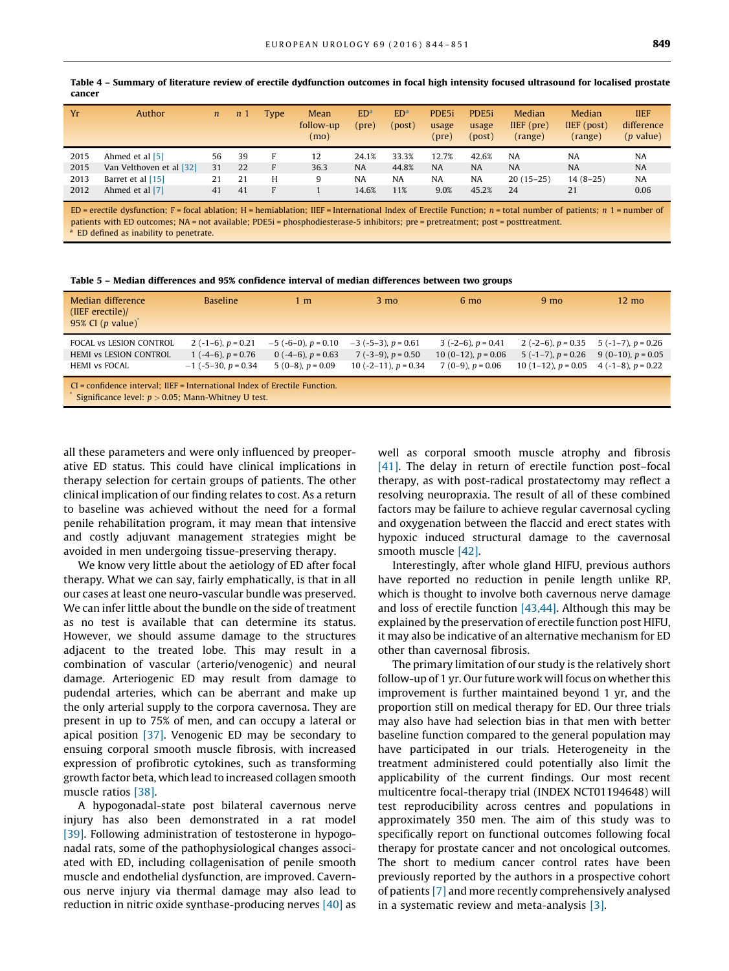| Yr   | Author                   | $\mathfrak n$ | $\mathfrak{n}$ | Type | Mean<br>follow-up<br>(mo) | ED <sup>a</sup><br>(pre) | ED <sup>a</sup><br>(post) | PDE <sub>5i</sub><br>usage<br>(pre) | PDE5i<br>usage<br>(post) | Median<br>$IIEF$ (pre)<br>(range) | Median<br>IIEF (post)<br>(range) | <b>IIEF</b><br>difference<br>$(p$ value) |
|------|--------------------------|---------------|----------------|------|---------------------------|--------------------------|---------------------------|-------------------------------------|--------------------------|-----------------------------------|----------------------------------|------------------------------------------|
| 2015 | Ahmed et al [5]          | 56            | 39             | Е    | 12                        | 24.1%                    | 33.3%                     | 12.7%                               | 42.6%                    | NA                                | <b>NA</b>                        | <b>NA</b>                                |
| 2015 | Van Velthoven et al [32] | 31            | 22             | F    | 36.3                      | <b>NA</b>                | 44.8%                     | <b>NA</b>                           | <b>NA</b>                | <b>NA</b>                         | <b>NA</b>                        | <b>NA</b>                                |
| 2013 | Barret et al [15]        | 21            | 21             | н    | 9                         | <b>NA</b>                | <b>NA</b>                 | <b>NA</b>                           | <b>NA</b>                | $20(15-25)$                       | $14(8-25)$                       | <b>NA</b>                                |
| 2012 | Ahmed et al [7]          | 41            | 41             | Е    |                           | 14.6%                    | 11%                       | 9.0%                                | 45.2%                    | 24                                | 21                               | 0.06                                     |

<span id="page-5-0"></span>Table 4 – Summary of literature review of erectile dydfunction outcomes in focal high intensity focused ultrasound for localised prostate cancer

ED = erectile dysfunction; F = focal ablation; H = hemiablation; IIEF = International Index of Erectile Function;  $n =$  total number of patients;  $n =$  1 = number of patients with ED outcomes; NA = not available; PDE5i = phosphodiesterase-5 inhibitors; pre = pretreatment; post = posttreatment. ED defined as inability to penetrate.

Table 5 – Median differences and 95% confidence interval of median differences between two groups

| Median difference<br>$(IIEF)$ erectile)/<br>95% CI $(p \text{ value})^*$                                                            | <b>Baseline</b>                                                              | 1 m                                                                      | $3 \text{ mo}$                                                              | $6 \text{ mo}$                                                           | 9 <sub>mo</sub>                                                               | $12 \text{ mo}$                                                             |  |  |  |
|-------------------------------------------------------------------------------------------------------------------------------------|------------------------------------------------------------------------------|--------------------------------------------------------------------------|-----------------------------------------------------------------------------|--------------------------------------------------------------------------|-------------------------------------------------------------------------------|-----------------------------------------------------------------------------|--|--|--|
| FOCAL vs LESION CONTROL<br><b>HEMI VS LESION CONTROL</b><br><b>HEMI</b> vs FOCAL                                                    | 2 $(-1-6)$ , $p = 0.21$<br>1 $(-4-6)$ , $p = 0.76$<br>$-1$ (-5-30, p = 0.34) | $-5$ (-6-0), $p = 0.10$<br>0 $(-4-6)$ , $p = 0.63$<br>$5(0-8), p = 0.09$ | $-3$ (-5-3), $p = 0.61$<br>$7(-3-9)$ , $p = 0.50$<br>10 (-2-11), $p = 0.34$ | $3(-2-6)$ , $p = 0.41$<br>10 (0-12), $p = 0.06$<br>$7(0-9)$ , $p = 0.06$ | 2 $(-2-6)$ , $p = 0.35$<br>$5(-1-7)$ , $p = 0.26$<br>10 $(1-12)$ , $p = 0.05$ | $5(-1-7)$ , $p = 0.26$<br>$9(0-10)$ , $p = 0.05$<br>4 $(-1-8)$ , $p = 0.22$ |  |  |  |
| CI = confidence interval; IIEF = International Index of Erectile Function.<br>Significance level: $p > 0.05$ ; Mann-Whitney U test. |                                                                              |                                                                          |                                                                             |                                                                          |                                                                               |                                                                             |  |  |  |

all these parameters and were only influenced by preoperative ED status. This could have clinical implications in therapy selection for certain groups of patients. The other clinical implication of our finding relates to cost. As a return to baseline was achieved without the need for a formal penile rehabilitation program, it may mean that intensive and costly adjuvant management strategies might be avoided in men undergoing tissue-preserving therapy.

We know very little about the aetiology of ED after focal therapy. What we can say, fairly emphatically, is that in all our cases at least one neuro-vascular bundle was preserved. We can infer little about the bundle on the side of treatment as no test is available that can determine its status. However, we should assume damage to the structures adjacent to the treated lobe. This may result in a combination of vascular (arterio/venogenic) and neural damage. Arteriogenic ED may result from damage to pudendal arteries, which can be aberrant and make up the only arterial supply to the corpora cavernosa. They are present in up to 75% of men, and can occupy a lateral or apical position [\[37\].](#page-7-0) Venogenic ED may be secondary to ensuing corporal smooth muscle fibrosis, with increased expression of profibrotic cytokines, such as transforming growth factor beta, which lead to increased collagen smooth muscle ratios [\[38\]](#page-7-0).

A hypogonadal-state post bilateral cavernous nerve injury has also been demonstrated in a rat model [\[39\].](#page-7-0) Following administration of testosterone in hypogonadal rats, some of the pathophysiological changes associated with ED, including collagenisation of penile smooth muscle and endothelial dysfunction, are improved. Cavernous nerve injury via thermal damage may also lead to reduction in nitric oxide synthase-producing nerves [\[40\]](#page-7-0) as

well as corporal smooth muscle atrophy and fibrosis [\[41\].](#page-7-0) The delay in return of erectile function post-focal therapy, as with post-radical prostatectomy may reflect a resolving neuropraxia. The result of all of these combined factors may be failure to achieve regular cavernosal cycling and oxygenation between the flaccid and erect states with hypoxic induced structural damage to the cavernosal smooth muscle [\[42\].](#page-7-0)

Interestingly, after whole gland HIFU, previous authors have reported no reduction in penile length unlike RP, which is thought to involve both cavernous nerve damage and loss of erectile function [\[43,44\].](#page-7-0) Although this may be explained by the preservation of erectile function post HIFU, it may also be indicative of an alternative mechanism for ED other than cavernosal fibrosis.

The primary limitation of our study is the relatively short follow-up of 1 yr. Our future work will focus on whether this improvement is further maintained beyond 1 yr, and the proportion still on medical therapy for ED. Our three trials may also have had selection bias in that men with better baseline function compared to the general population may have participated in our trials. Heterogeneity in the treatment administered could potentially also limit the applicability of the current findings. Our most recent multicentre focal-therapy trial (INDEX NCT01194648) will test reproducibility across centres and populations in approximately 350 men. The aim of this study was to specifically report on functional outcomes following focal therapy for prostate cancer and not oncological outcomes. The short to medium cancer control rates have been previously reported by the authors in a prospective cohort of patients [\[7\]](#page-6-0) and more recently comprehensively analysed in a systematic review and meta-analysis [\[3\].](#page-6-0)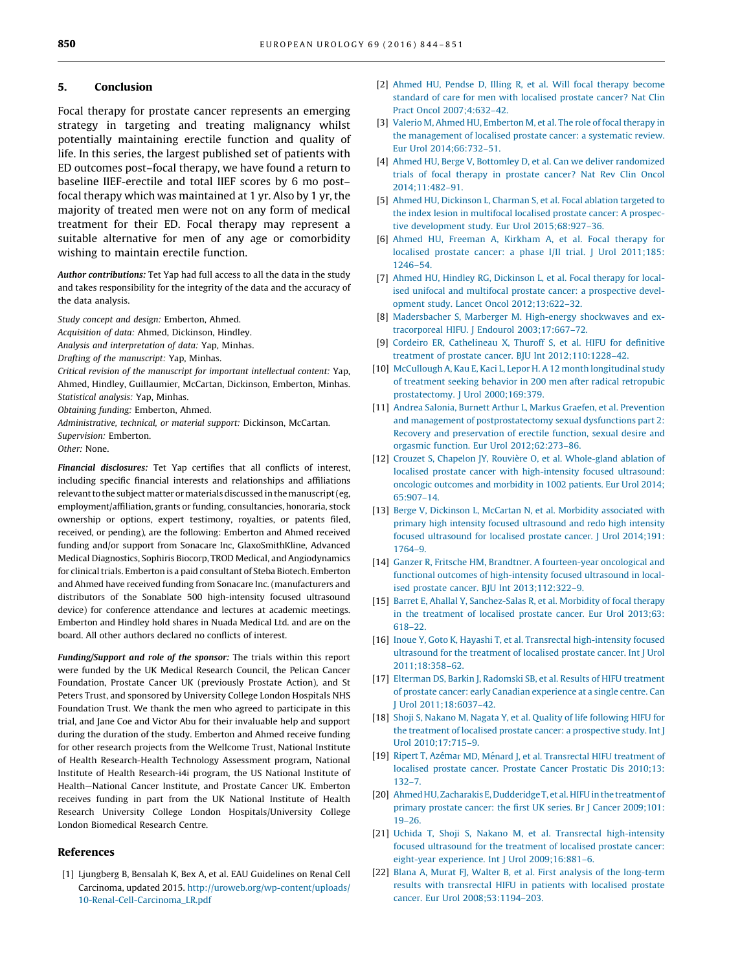## <span id="page-6-0"></span>5. Conclusion

Focal therapy for prostate cancer represents an emerging strategy in targeting and treating malignancy whilst potentially maintaining erectile function and quality of life. In this series, the largest published set of patients with ED outcomes post–focal therapy, we have found a return to baseline IIEF-erectile and total IIEF scores by 6 mo post– focal therapy which was maintained at 1 yr. Also by 1 yr, the majority of treated men were not on any form of medical treatment for their ED. Focal therapy may represent a suitable alternative for men of any age or comorbidity wishing to maintain erectile function.

Author contributions: Tet Yap had full access to all the data in the study and takes responsibility for the integrity of the data and the accuracy of the data analysis.

Study concept and design: Emberton, Ahmed.

Acquisition of data: Ahmed, Dickinson, Hindley.

Analysis and interpretation of data: Yap, Minhas.

Drafting of the manuscript: Yap, Minhas.

Critical revision of the manuscript for important intellectual content: Yap, Ahmed, Hindley, Guillaumier, McCartan, Dickinson, Emberton, Minhas. Statistical analysis: Yap, Minhas.

Obtaining funding: Emberton, Ahmed.

Administrative, technical, or material support: Dickinson, McCartan. Supervision: Emberton.

Other: None.

Financial disclosures: Tet Yap certifies that all conflicts of interest, including specific financial interests and relationships and affiliations relevant to the subject matter or materials discussed in the manuscript (eg, employment/affiliation, grants or funding, consultancies, honoraria, stock ownership or options, expert testimony, royalties, or patents filed, received, or pending), are the following: Emberton and Ahmed received funding and/or support from Sonacare Inc, GlaxoSmithKline, Advanced Medical Diagnostics, Sophiris Biocorp, TROD Medical, and Angiodynamics for clinical trials. Emberton is a paid consultant of Steba Biotech. Emberton and Ahmed have received funding from Sonacare Inc. (manufacturers and distributors of the Sonablate 500 high-intensity focused ultrasound device) for conference attendance and lectures at academic meetings. Emberton and Hindley hold shares in Nuada Medical Ltd. and are on the board. All other authors declared no conflicts of interest.

Funding/Support and role of the sponsor: The trials within this report were funded by the UK Medical Research Council, the Pelican Cancer Foundation, Prostate Cancer UK (previously Prostate Action), and St Peters Trust, and sponsored by University College London Hospitals NHS Foundation Trust. We thank the men who agreed to participate in this trial, and Jane Coe and Victor Abu for their invaluable help and support during the duration of the study. Emberton and Ahmed receive funding for other research projects from the Wellcome Trust, National Institute of Health Research-Health Technology Assessment program, National Institute of Health Research-i4i program, the US National Institute of Health—National Cancer Institute, and Prostate Cancer UK. Emberton receives funding in part from the UK National Institute of Health Research University College London Hospitals/University College London Biomedical Research Centre.

## References

[1] Ljungberg B, Bensalah K, Bex A, et al. EAU Guidelines on Renal Cell Carcinoma, updated 2015. [http://uroweb.org/wp-content/uploads/](http://uroweb.org/wp-content/uploads/10-Renal-Cell-Carcinoma_LR.pdf) [10-Renal-Cell-Carcinoma\\_LR.pdf](http://uroweb.org/wp-content/uploads/10-Renal-Cell-Carcinoma_LR.pdf)

- [2] [Ahmed HU, Pendse D, Illing R, et al. Will focal therapy become](http://refhub.elsevier.com/S0302-2838(15)01013-1/sbref0230) standard [of care for men with localised prostate cancer? Nat Clin](http://refhub.elsevier.com/S0302-2838(15)01013-1/sbref0230) [Pract Oncol 2007;4:632–42.](http://refhub.elsevier.com/S0302-2838(15)01013-1/sbref0230)
- [3] [Valerio M, Ahmed HU, Emberton M, et al. The role of focal therapy in](http://refhub.elsevier.com/S0302-2838(15)01013-1/sbref0235) the [management of localised prostate cancer: a systematic review.](http://refhub.elsevier.com/S0302-2838(15)01013-1/sbref0235) [Eur Urol 2014;66:732–51.](http://refhub.elsevier.com/S0302-2838(15)01013-1/sbref0235)
- [4] [Ahmed HU, Berge V, Bottomley D, et al. Can we deliver randomized](http://refhub.elsevier.com/S0302-2838(15)01013-1/sbref0240) trials [of focal therapy in prostate cancer? Nat Rev Clin Oncol](http://refhub.elsevier.com/S0302-2838(15)01013-1/sbref0240) [2014;11:482–91.](http://refhub.elsevier.com/S0302-2838(15)01013-1/sbref0240)
- [5] [Ahmed HU, Dickinson L, Charman S, et al. Focal ablation targeted to](http://refhub.elsevier.com/S0302-2838(15)01013-1/sbref0245) the [index lesion in multifocal localised prostate cancer: A prospec](http://refhub.elsevier.com/S0302-2838(15)01013-1/sbref0245)[tive development study. Eur Urol 2015;68:927–36.](http://refhub.elsevier.com/S0302-2838(15)01013-1/sbref0245)
- [6] [Ahmed HU, Freeman A, Kirkham A, et al. Focal therapy for](http://refhub.elsevier.com/S0302-2838(15)01013-1/sbref0250) [localised prostate cancer: a phase I/II trial. J Urol 2011;185:](http://refhub.elsevier.com/S0302-2838(15)01013-1/sbref0250) [1246–54](http://refhub.elsevier.com/S0302-2838(15)01013-1/sbref0250).
- [7] [Ahmed HU, Hindley RG, Dickinson L, et al. Focal therapy for local](http://refhub.elsevier.com/S0302-2838(15)01013-1/sbref0255)ised [unifocal and multifocal prostate cancer: a prospective devel](http://refhub.elsevier.com/S0302-2838(15)01013-1/sbref0255)[opment study. Lancet Oncol 2012;13:622–32](http://refhub.elsevier.com/S0302-2838(15)01013-1/sbref0255).
- [8] [Madersbacher S, Marberger M. High-energy shockwaves and ex](http://refhub.elsevier.com/S0302-2838(15)01013-1/sbref0260)tracorporeal [HIFU. J Endourol 2003;17:667–72.](http://refhub.elsevier.com/S0302-2838(15)01013-1/sbref0260)
- [9] [Cordeiro ER, Cathelineau X, Thuroff S, et al. HIFU for definitive](http://refhub.elsevier.com/S0302-2838(15)01013-1/sbref0265) treatment [of prostate cancer. BJU Int 2012;110:1228–42](http://refhub.elsevier.com/S0302-2838(15)01013-1/sbref0265).
- [10] [McCullough A, Kau E, Kaci L, Lepor H. A 12 month longitudinal study](http://refhub.elsevier.com/S0302-2838(15)01013-1/sbref0270) of [treatment seeking behavior in 200 men after radical retropubic](http://refhub.elsevier.com/S0302-2838(15)01013-1/sbref0270) [prostatectomy. J Urol 2000;169:379](http://refhub.elsevier.com/S0302-2838(15)01013-1/sbref0270).
- [11] [Andrea Salonia, Burnett Arthur L, Markus Graefen, et al. Prevention](http://refhub.elsevier.com/S0302-2838(15)01013-1/sbref0275) and [management of postprostatectomy sexual dysfunctions part 2:](http://refhub.elsevier.com/S0302-2838(15)01013-1/sbref0275) [Recovery and preservation of erectile function, sexual desire and](http://refhub.elsevier.com/S0302-2838(15)01013-1/sbref0275) [orgasmic function. Eur Urol 2012;62:273–86](http://refhub.elsevier.com/S0302-2838(15)01013-1/sbref0275).
- [12] Crouzet S, Chapelon JY, Rouvière [O, et al. Whole-gland ablation of](http://refhub.elsevier.com/S0302-2838(15)01013-1/sbref0280) [localised prostate cancer with high-intensity focused ultrasound:](http://refhub.elsevier.com/S0302-2838(15)01013-1/sbref0280) [oncologic outcomes and morbidity in 1002 patients. Eur Urol 2014;](http://refhub.elsevier.com/S0302-2838(15)01013-1/sbref0280) [65:907–14.](http://refhub.elsevier.com/S0302-2838(15)01013-1/sbref0280)
- [13] [Berge V, Dickinson L, McCartan N, et al. Morbidity associated with](http://refhub.elsevier.com/S0302-2838(15)01013-1/sbref0285) [primary high intensity focused ultrasound and redo high intensity](http://refhub.elsevier.com/S0302-2838(15)01013-1/sbref0285) [focused ultrasound for localised prostate cancer. J Urol 2014;191:](http://refhub.elsevier.com/S0302-2838(15)01013-1/sbref0285) [1764–9.](http://refhub.elsevier.com/S0302-2838(15)01013-1/sbref0285)
- [14] [Ganzer R, Fritsche HM, Brandtner. A fourteen-year oncological and](http://refhub.elsevier.com/S0302-2838(15)01013-1/sbref0290) functional [outcomes of high-intensity focused ultrasound in local](http://refhub.elsevier.com/S0302-2838(15)01013-1/sbref0290)[ised prostate cancer. BJU Int 2013;112:322–9.](http://refhub.elsevier.com/S0302-2838(15)01013-1/sbref0290)
- [15] [Barret E, Ahallal Y, Sanchez-Salas R, et al. Morbidity of focal therapy](http://refhub.elsevier.com/S0302-2838(15)01013-1/sbref0295) in [the treatment of localised prostate cancer. Eur Urol 2013;63:](http://refhub.elsevier.com/S0302-2838(15)01013-1/sbref0295) [618–22.](http://refhub.elsevier.com/S0302-2838(15)01013-1/sbref0295)
- [16] [Inoue Y, Goto K, Hayashi T, et al. Transrectal high-intensity focused](http://refhub.elsevier.com/S0302-2838(15)01013-1/sbref0300) ultrasound [for the treatment of localised prostate cancer. Int J Urol](http://refhub.elsevier.com/S0302-2838(15)01013-1/sbref0300) [2011;18:358–62.](http://refhub.elsevier.com/S0302-2838(15)01013-1/sbref0300)
- [17] [Elterman DS, Barkin J, Radomski SB, et al. Results of HIFU treatment](http://refhub.elsevier.com/S0302-2838(15)01013-1/sbref0305) of [prostate cancer: early Canadian experience at a single centre. Can](http://refhub.elsevier.com/S0302-2838(15)01013-1/sbref0305) [J Urol 2011;18:6037–42](http://refhub.elsevier.com/S0302-2838(15)01013-1/sbref0305).
- [18] [Shoji S, Nakano M, Nagata Y, et al. Quality of life following HIFU for](http://refhub.elsevier.com/S0302-2838(15)01013-1/sbref0310) the [treatment of localised prostate cancer: a prospective study. Int J](http://refhub.elsevier.com/S0302-2838(15)01013-1/sbref0310) [Urol 2010;17:715–9](http://refhub.elsevier.com/S0302-2838(15)01013-1/sbref0310).
- [19] Ripert T, Azémar MD, Ménard J, et al. Transrectal HIFU treatment of [localised prostate cancer. Prostate Cancer Prostatic Dis 2010;13:](http://refhub.elsevier.com/S0302-2838(15)01013-1/sbref0315) [132–7.](http://refhub.elsevier.com/S0302-2838(15)01013-1/sbref0315)
- [20] [Ahmed HU, Zacharakis E, Dudderidge T, et al. HIFU in the treatment of](http://refhub.elsevier.com/S0302-2838(15)01013-1/sbref0320) [primary prostate cancer: the first UK series. Br J Cancer 2009;101:](http://refhub.elsevier.com/S0302-2838(15)01013-1/sbref0320) [19–26](http://refhub.elsevier.com/S0302-2838(15)01013-1/sbref0320).
- [21] [Uchida T, Shoji S, Nakano M, et al. Transrectal high-intensity](http://refhub.elsevier.com/S0302-2838(15)01013-1/sbref0325) focused [ultrasound for the treatment of localised prostate cancer:](http://refhub.elsevier.com/S0302-2838(15)01013-1/sbref0325) [eight-year experience. Int J Urol 2009;16:881–6](http://refhub.elsevier.com/S0302-2838(15)01013-1/sbref0325).
- [22] [Blana A, Murat FJ, Walter B, et al. First analysis of the long-term](http://refhub.elsevier.com/S0302-2838(15)01013-1/sbref0330) results [with transrectal HIFU in patients with localised prostate](http://refhub.elsevier.com/S0302-2838(15)01013-1/sbref0330) [cancer. Eur Urol 2008;53:1194–203.](http://refhub.elsevier.com/S0302-2838(15)01013-1/sbref0330)